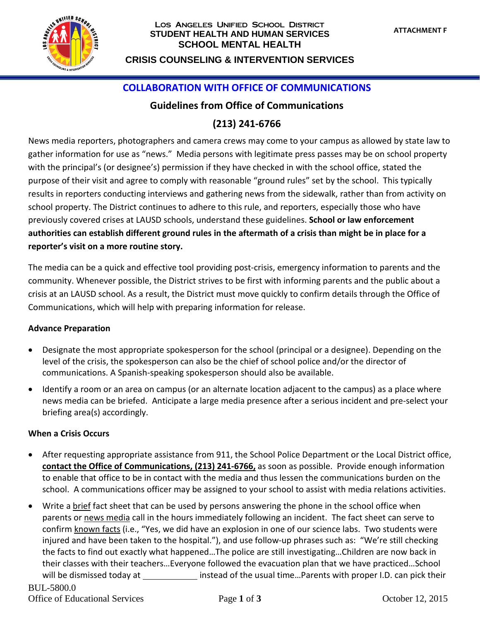

### Los Angeles Unified School District **STUDENT HEALTH AND HUMAN SERVICES SCHOOL MENTAL HEALTH**

# **CRISIS COUNSELING & INTERVENTION SERVICES**

### **COLLABORATION WITH OFFICE OF COMMUNICATIONS**

### **Guidelines from Office of Communications**

# **(213) 241-6766**

News media reporters, photographers and camera crews may come to your campus as allowed by state law to gather information for use as "news." Media persons with legitimate press passes may be on school property with the principal's (or designee's) permission if they have checked in with the school office, stated the purpose of their visit and agree to comply with reasonable "ground rules" set by the school. This typically results in reporters conducting interviews and gathering news from the sidewalk, rather than from activity on school property. The District continues to adhere to this rule, and reporters, especially those who have previously covered crises at LAUSD schools, understand these guidelines. **School or law enforcement authorities can establish different ground rules in the aftermath of a crisis than might be in place for a reporter's visit on a more routine story.**

The media can be a quick and effective tool providing post-crisis, emergency information to parents and the community. Whenever possible, the District strives to be first with informing parents and the public about a crisis at an LAUSD school. As a result, the District must move quickly to confirm details through the Office of Communications, which will help with preparing information for release.

#### **Advance Preparation**

- Designate the most appropriate spokesperson for the school (principal or a designee). Depending on the level of the crisis, the spokesperson can also be the chief of school police and/or the director of communications. A Spanish-speaking spokesperson should also be available.
- Identify a room or an area on campus (or an alternate location adjacent to the campus) as a place where news media can be briefed. Anticipate a large media presence after a serious incident and pre-select your briefing area(s) accordingly.

#### **When a Crisis Occurs**

- After requesting appropriate assistance from 911, the School Police Department or the Local District office, **contact the Office of Communications, (213) 241-6766,** as soon as possible. Provide enough information to enable that office to be in contact with the media and thus lessen the communications burden on the school. A communications officer may be assigned to your school to assist with media relations activities.
- Write a brief fact sheet that can be used by persons answering the phone in the school office when parents or news media call in the hours immediately following an incident. The fact sheet can serve to confirm known facts (i.e., "Yes, we did have an explosion in one of our science labs. Two students were injured and have been taken to the hospital."), and use follow-up phrases such as: "We're still checking the facts to find out exactly what happened…The police are still investigating…Children are now back in their classes with their teachers…Everyone followed the evacuation plan that we have practiced…School will be dismissed today at instead of the usual time...Parents with proper I.D. can pick their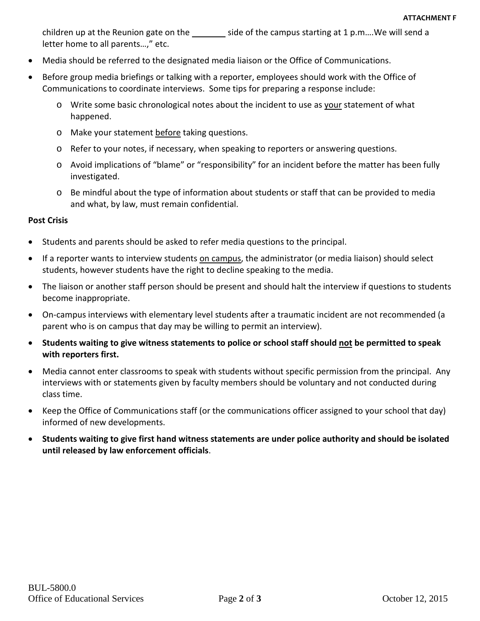children up at the Reunion gate on the  $\qquad \qquad$  side of the campus starting at 1 p.m....We will send a letter home to all parents...," etc.

- Media should be referred to the designated media liaison or the Office of Communications.
- Before group media briefings or talking with a reporter, employees should work with the Office of Communications to coordinate interviews. Some tips for preparing a response include:
	- o Write some basic chronological notes about the incident to use as your statement of what happened.
	- o Make your statement before taking questions.
	- o Refer to your notes, if necessary, when speaking to reporters or answering questions.
	- o Avoid implications of "blame" or "responsibility" for an incident before the matter has been fully investigated.
	- o Be mindful about the type of information about students or staff that can be provided to media and what, by law, must remain confidential.

#### **Post Crisis**

- Students and parents should be asked to refer media questions to the principal.
- If a reporter wants to interview students on campus, the administrator (or media liaison) should select students, however students have the right to decline speaking to the media.
- The liaison or another staff person should be present and should halt the interview if questions to students become inappropriate.
- On-campus interviews with elementary level students after a traumatic incident are not recommended (a parent who is on campus that day may be willing to permit an interview).
- **Students waiting to give witness statements to police or school staff should not be permitted to speak with reporters first.**
- Media cannot enter classrooms to speak with students without specific permission from the principal. Any interviews with or statements given by faculty members should be voluntary and not conducted during class time.
- Keep the Office of Communications staff (or the communications officer assigned to your school that day) informed of new developments.
- **Students waiting to give first hand witness statements are under police authority and should be isolated until released by law enforcement officials**.